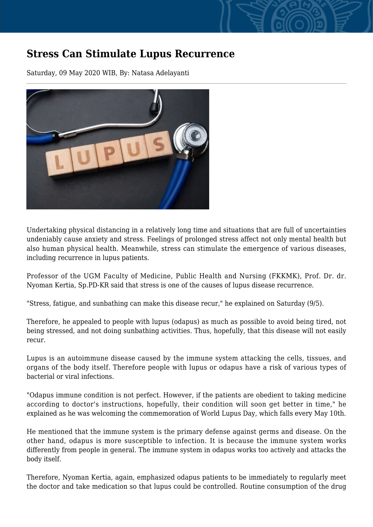## **Stress Can Stimulate Lupus Recurrence**

Saturday, 09 May 2020 WIB, By: Natasa Adelayanti



Undertaking physical distancing in a relatively long time and situations that are full of uncertainties undeniably cause anxiety and stress. Feelings of prolonged stress affect not only mental health but also human physical health. Meanwhile, stress can stimulate the emergence of various diseases, including recurrence in lupus patients.

Professor of the UGM Faculty of Medicine, Public Health and Nursing (FKKMK), Prof. Dr. dr. Nyoman Kertia, Sp.PD-KR said that stress is one of the causes of lupus disease recurrence.

"Stress, fatigue, and sunbathing can make this disease recur," he explained on Saturday (9/5).

Therefore, he appealed to people with lupus (odapus) as much as possible to avoid being tired, not being stressed, and not doing sunbathing activities. Thus, hopefully, that this disease will not easily recur.

Lupus is an autoimmune disease caused by the immune system attacking the cells, tissues, and organs of the body itself. Therefore people with lupus or odapus have a risk of various types of bacterial or viral infections.

"Odapus immune condition is not perfect. However, if the patients are obedient to taking medicine according to doctor's instructions, hopefully, their condition will soon get better in time," he explained as he was welcoming the commemoration of World Lupus Day, which falls every May 10th.

He mentioned that the immune system is the primary defense against germs and disease. On the other hand, odapus is more susceptible to infection. It is because the immune system works differently from people in general. The immune system in odapus works too actively and attacks the body itself.

Therefore, Nyoman Kertia, again, emphasized odapus patients to be immediately to regularly meet the doctor and take medication so that lupus could be controlled. Routine consumption of the drug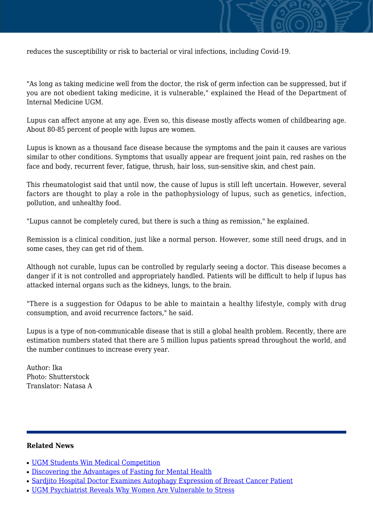

"As long as taking medicine well from the doctor, the risk of germ infection can be suppressed, but if you are not obedient taking medicine, it is vulnerable," explained the Head of the Department of Internal Medicine UGM.

Lupus can affect anyone at any age. Even so, this disease mostly affects women of childbearing age. About 80-85 percent of people with lupus are women.

Lupus is known as a thousand face disease because the symptoms and the pain it causes are various similar to other conditions. Symptoms that usually appear are frequent joint pain, red rashes on the face and body, recurrent fever, fatigue, thrush, hair loss, sun-sensitive skin, and chest pain.

This rheumatologist said that until now, the cause of lupus is still left uncertain. However, several factors are thought to play a role in the pathophysiology of lupus, such as genetics, infection, pollution, and unhealthy food.

"Lupus cannot be completely cured, but there is such a thing as remission," he explained.

Remission is a clinical condition, just like a normal person. However, some still need drugs, and in some cases, they can get rid of them.

Although not curable, lupus can be controlled by regularly seeing a doctor. This disease becomes a danger if it is not controlled and appropriately handled. Patients will be difficult to help if lupus has attacked internal organs such as the kidneys, lungs, to the brain.

"There is a suggestion for Odapus to be able to maintain a healthy lifestyle, comply with drug consumption, and avoid recurrence factors," he said.

Lupus is a type of non-communicable disease that is still a global health problem. Recently, there are estimation numbers stated that there are 5 million lupus patients spread throughout the world, and the number continues to increase every year.

Author: Ika Photo: Shutterstock Translator: Natasa A

## **Related News**

- [UGM Students Win Medical Competition](http://ugm.ac.id/www.ugm.ac.id//en/news/16665-sardjito-hospital-doctor-examines-autophagy-expression-of-breast-cancer-patient)
- [Discovering the Advantages of Fasting for Mental Health](http://ugm.ac.id/www.ugm.ac.id//en/news/19401-ugm-psychiatrist-reveals-why-women-are-vulnerable-to-stress)
- [Sardjito Hospital Doctor Examines Autophagy Expression of Breast Cancer Patient](http://ugm.ac.id/www.ugm.ac.id//en/news/18141-seaweed-potential-as-anti-stress-drug-for-transported-goat)
- [UGM Psychiatrist Reveals Why Women Are Vulnerable to Stress](http://ugm.ac.id/www.ugm.ac.id//en/news/14377-ugm-students-win-medical-competition)